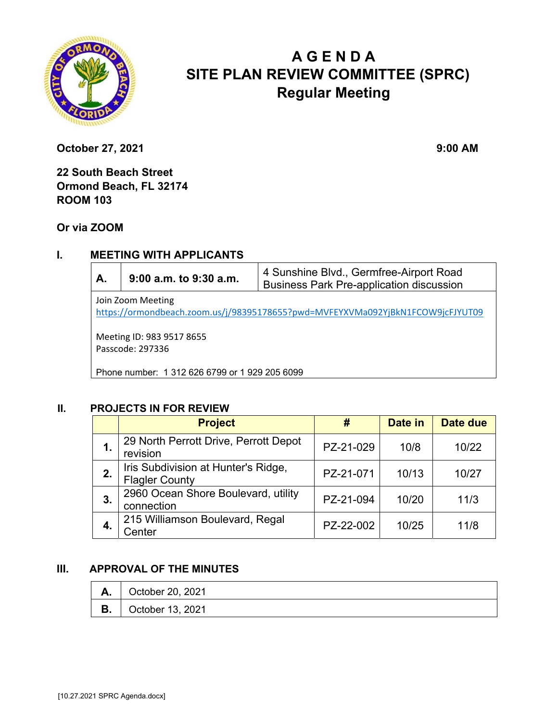

# **A G E N D A SITE PLAN REVIEW COMMITTEE (SPRC) Regular Meeting**

**October 27, 2021** 9:00 AM

**22 South Beach Street Ormond Beach, FL 32174 ROOM 103** 

**Or via ZOOM**

## **I. MEETING WITH APPLICANTS**

| А.                                                                                                  | 9:00 a.m. to 9:30 a.m. | 4 Sunshine Blvd., Germfree-Airport Road<br><b>Business Park Pre-application discussion</b> |  |  |  |
|-----------------------------------------------------------------------------------------------------|------------------------|--------------------------------------------------------------------------------------------|--|--|--|
| Join Zoom Meeting<br>https://ormondbeach.zoom.us/j/98395178655?pwd=MVFEYXVMa092YjBkN1FCOW9jcFJYUT09 |                        |                                                                                            |  |  |  |
| Meeting ID: 983 9517 8655<br>Passcode: 297336                                                       |                        |                                                                                            |  |  |  |
| Phone number: 1 312 626 6799 or 1 929 205 6099                                                      |                        |                                                                                            |  |  |  |

## **II. PROJECTS IN FOR REVIEW**

|    | <b>Project</b>                                               | #         | Date in | Date due |
|----|--------------------------------------------------------------|-----------|---------|----------|
| 1. | 29 North Perrott Drive, Perrott Depot<br>revision            | PZ-21-029 | 10/8    | 10/22    |
| 2. | Iris Subdivision at Hunter's Ridge,<br><b>Flagler County</b> | PZ-21-071 | 10/13   | 10/27    |
| 3. | 2960 Ocean Shore Boulevard, utility<br>connection            | PZ-21-094 | 10/20   | 11/3     |
| 4. | 215 Williamson Boulevard, Regal<br>Center                    | PZ-22-002 | 10/25   | 11/8     |

#### **III. APPROVAL OF THE MINUTES**

|    | $\vert$ October 20, 2021 |
|----|--------------------------|
| В. | $\vert$ October 13, 2021 |